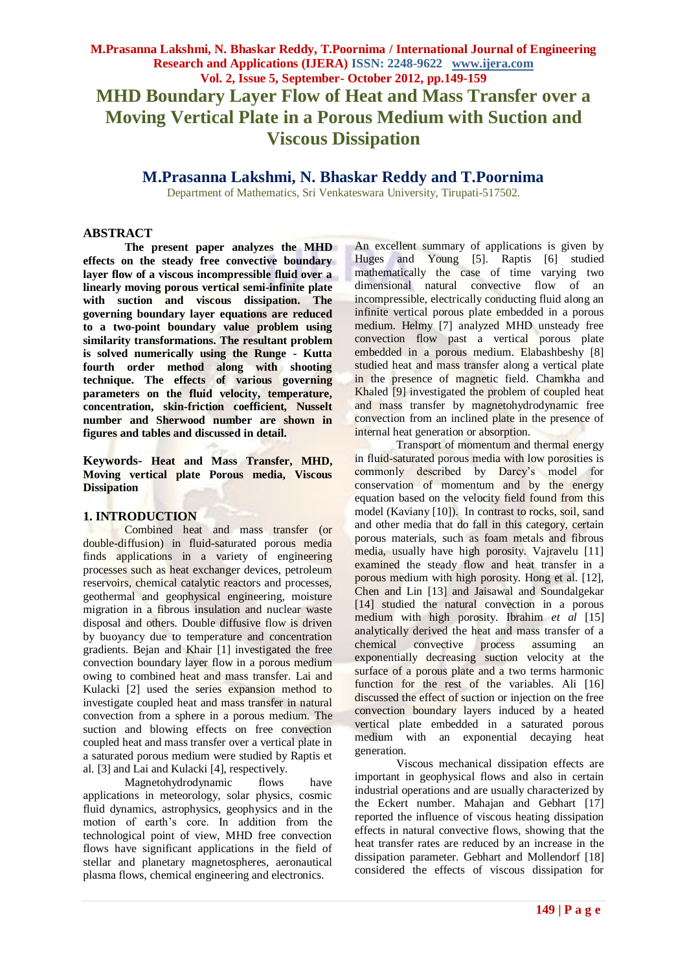# **M.Prasanna Lakshmi, N. Bhaskar Reddy, T.Poornima / International Journal of Engineering Research and Applications (IJERA) ISSN: 2248-9622 www.ijera.com Vol. 2, Issue 5, September- October 2012, pp.149-159 MHD Boundary Layer Flow of Heat and Mass Transfer over a Moving Vertical Plate in a Porous Medium with Suction and Viscous Dissipation**

**M.Prasanna Lakshmi, N. Bhaskar Reddy and T.Poornima**

Department of Mathematics, Sri Venkateswara University, Tirupati-517502.

### **ABSTRACT**

**The present paper analyzes the MHD effects on the steady free convective boundary layer flow of a viscous incompressible fluid over a linearly moving porous vertical semi-infinite plate with suction and viscous dissipation. The governing boundary layer equations are reduced to a two-point boundary value problem using similarity transformations. The resultant problem is solved numerically using the Runge - Kutta fourth order method along with shooting technique. The effects of various governing parameters on the fluid velocity, temperature, concentration, skin-friction coefficient, Nusselt number and Sherwood number are shown in figures and tables and discussed in detail.** 

**Keywords- Heat and Mass Transfer, MHD, Moving vertical plate Porous media, Viscous Dissipation**

# **1. INTRODUCTION**

Combined heat and mass transfer (or double-diffusion) in fluid-saturated porous media finds applications in a variety of engineering processes such as heat exchanger devices, petroleum reservoirs, chemical catalytic reactors and processes, geothermal and geophysical engineering, moisture migration in a fibrous insulation and nuclear waste disposal and others. Double diffusive flow is driven by buoyancy due to temperature and concentration gradients. Bejan and Khair [1] investigated the free convection boundary layer flow in a porous medium owing to combined heat and mass transfer. Lai and Kulacki [2] used the series expansion method to investigate coupled heat and mass transfer in natural convection from a sphere in a porous medium. The suction and blowing effects on free convection coupled heat and mass transfer over a vertical plate in a saturated porous medium were studied by Raptis et al. [3] and Lai and Kulacki [4], respectively.

Magnetohydrodynamic flows have applications in meteorology, solar physics, cosmic fluid dynamics, astrophysics, geophysics and in the motion of earth's core. In addition from the technological point of view, MHD free convection flows have significant applications in the field of stellar and planetary magnetospheres, aeronautical plasma flows, chemical engineering and electronics.

An excellent summary of applications is given by Huges and Young [5]. Raptis [6] studied mathematically the case of time varying two dimensional natural convective flow of an incompressible, electrically conducting fluid along an infinite vertical porous plate embedded in a porous medium. Helmy [7] analyzed MHD unsteady free convection flow past a vertical porous plate embedded in a porous medium. Elabashbeshy [8] studied heat and mass transfer along a vertical plate in the presence of magnetic field. Chamkha and Khaled [9] investigated the problem of coupled heat and mass transfer by magnetohydrodynamic free convection from an inclined plate in the presence of internal heat generation or absorption.

Transport of momentum and thermal energy in fluid-saturated porous media with low porosities is commonly described by Darcy's model for conservation of momentum and by the energy equation based on the velocity field found from this model (Kaviany [10]). In contrast to rocks, soil, sand and other media that do fall in this category, certain porous materials, such as foam metals and fibrous media, usually have high porosity. Vajravelu [11] examined the steady flow and heat transfer in a porous medium with high porosity. Hong et al. [12], Chen and Lin [13] and Jaisawal and Soundalgekar [14] studied the natural convection in a porous medium with high porosity. Ibrahim *et al* [15] analytically derived the heat and mass transfer of a chemical convective process assuming an exponentially decreasing suction velocity at the surface of a porous plate and a two terms harmonic function for the rest of the variables. Ali [16] discussed the effect of suction or injection on the free convection boundary layers induced by a heated vertical plate embedded in a saturated porous medium with an exponential decaying heat generation.

Viscous mechanical dissipation effects are important in geophysical flows and also in certain industrial operations and are usually characterized by the Eckert number. Mahajan and Gebhart [17] reported the influence of viscous heating dissipation effects in natural convective flows, showing that the heat transfer rates are reduced by an increase in the dissipation parameter. Gebhart and Mollendorf [18] considered the effects of viscous dissipation for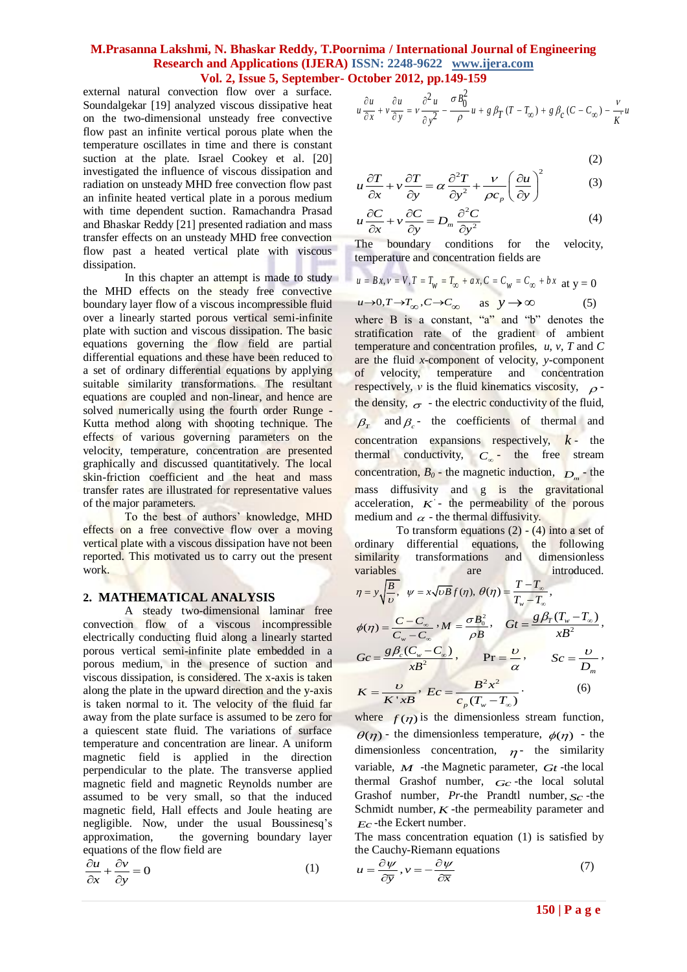external natural convection flow over a surface. Soundalgekar [19] analyzed viscous dissipative heat on the two-dimensional unsteady free convective flow past an infinite vertical porous plate when the temperature oscillates in time and there is constant suction at the plate. Israel Cookey et al. [20] investigated the influence of viscous dissipation and radiation on unsteady MHD free convection flow past an infinite heated vertical plate in a porous medium with time dependent suction. Ramachandra Prasad and Bhaskar Reddy [21] presented radiation and mass transfer effects on an unsteady MHD free convection flow past a heated vertical plate with viscous dissipation.

In this chapter an attempt is made to study the MHD effects on the steady free convective boundary layer flow of a viscous incompressible fluid over a linearly started porous vertical semi-infinite plate with suction and viscous dissipation. The basic equations governing the flow field are partial differential equations and these have been reduced to a set of ordinary differential equations by applying suitable similarity transformations. The resultant equations are coupled and non-linear, and hence are solved numerically using the fourth order Runge - Kutta method along with shooting technique. The effects of various governing parameters on the velocity, temperature, concentration are presented graphically and discussed quantitatively. The local skin-friction coefficient and the heat and mass transfer rates are illustrated for representative values of the major parameters.

To the best of authors' knowledge, MHD effects on a free convective flow over a moving vertical plate with a viscous dissipation have not been reported. This motivated us to carry out the present work.

#### **2. MATHEMATICAL ANALYSIS**

A steady two-dimensional laminar free convection flow of a viscous incompressible electrically conducting fluid along a linearly started porous vertical semi-infinite plate embedded in a porous medium, in the presence of suction and viscous dissipation, is considered. The x-axis is taken along the plate in the upward direction and the y-axis is taken normal to it. The velocity of the fluid far away from the plate surface is assumed to be zero for a quiescent state fluid. The variations of surface temperature and concentration are linear. A uniform magnetic field is applied in the direction perpendicular to the plate. The transverse applied magnetic field and magnetic Reynolds number are assumed to be very small, so that the induced magnetic field, Hall effects and Joule heating are negligible. Now, under the usual Boussinesq's approximation, the governing boundary layer equations of the flow field are

$$
\frac{\partial u}{\partial x} + \frac{\partial v}{\partial y} = 0 \tag{1}
$$

$$
u \frac{\partial u}{\partial x} + v \frac{\partial u}{\partial y} = v \frac{\partial^2 u}{\partial y^2} - \frac{\sigma B_0^2}{\rho} u + g \beta_T (T - T_\infty) + g \beta_C (C - C_\infty) - \frac{v}{K} u
$$

$$
(2)
$$

(2)  
\n
$$
u\frac{\partial T}{\partial x} + v\frac{\partial T}{\partial y} = \alpha \frac{\partial^2 T}{\partial y^2} + \frac{v}{\rho c_p} \left(\frac{\partial u}{\partial y}\right)^2
$$
\n(3)

$$
u\frac{\partial C}{\partial x} + v\frac{\partial C}{\partial y} = D_m \frac{\partial^2 C}{\partial y^2}
$$
 (4)

The boundary conditions for the velocity, temperature and concentration fields are

$$
u = Bx, v = V, T = T_w = T_{\infty} + ax, C = C_w = C_{\infty} + bx \text{ at } y = 0
$$
  

$$
u \to 0, T \to T_{\infty}, C \to C_{\infty} \text{ as } y \to \infty
$$
 (5)

 $u\rightarrow 0, T\rightarrow T_{\infty}, C\rightarrow C_{\infty}$ where B is a constant, "a" and "b" denotes the stratification rate of the gradient of ambient temperature and concentration profiles, *u*, *v*, *T* and *C* are the fluid *x*-component of velocity, *y*-component of velocity, temperature and concentration respectively, *v* is the fluid kinematics viscosity,  $\rho$ the density,  $\sigma$  - the electric conductivity of the fluid,  $\beta_r$  and  $\beta_c$  the coefficients of thermal and  $\frac{1}{\text{concentration}}$  expansions respectively,  $k -$  the thermal conductivity,  $C_{\infty}$ - the free stream concentration,  $B_0$  - the magnetic induction,  $D_m$  - the mass diffusivity and g is the gravitational acceleration,  $K'$ - the permeability of the porous medium and  $\alpha$  - the thermal diffusivity.

To transform equations  $(2) - (4)$  into a set of ordinary differential equations, the following similarity transformations and dimensionless variables are introduced.

$$
\eta = y \sqrt{\frac{B}{\nu}}, \quad \psi = x \sqrt{\nu B} f(\eta), \quad \theta(\eta) = \frac{T - T_{\infty}}{T_{w} - T_{\infty}},
$$
\n
$$
\phi(\eta) = \frac{C - C_{\infty}}{C_{w} - C_{\infty}}, \quad M = \frac{\sigma B_{0}^{2}}{\rho B}, \quad Gt = \frac{g \beta_{T} (T_{w} - T_{\infty})}{x B^{2}},
$$
\n
$$
Gc = \frac{g \beta_{c} (C_{w} - C_{\infty})}{x B^{2}}, \quad \text{Pr} = \frac{\nu}{\alpha}, \quad Sc = \frac{\nu}{D_{m}},
$$
\n
$$
K = \frac{\nu}{K \, {}^{'}x B}, \quad Ec = \frac{B^{2} x^{2}}{c_{p} (T_{w} - T_{\infty})}.
$$
\n(6)

where  $f(\eta)$  is the dimensionless stream function,  $\theta(\eta)$  - the dimensionless temperature,  $\phi(\eta)$  - the dimensionless concentration,  $\eta$ - the similarity variable, *M* -the Magnetic parameter, *Gt* -the local thermal Grashof number, *Gc* -the local solutal Grashof number, *Pr*-the Prandtl number, *Sc* -the Schmidt number,  $K$ -the permeability parameter and *Ec* -the Eckert number.

The mass concentration equation (1) is satisfied by the Cauchy-Riemann equations<br> $u = \frac{\partial \psi}{\partial t}$ 

$$
u = \frac{\partial \psi}{\partial \bar{y}}, v = -\frac{\partial \psi}{\partial \bar{x}} \tag{7}
$$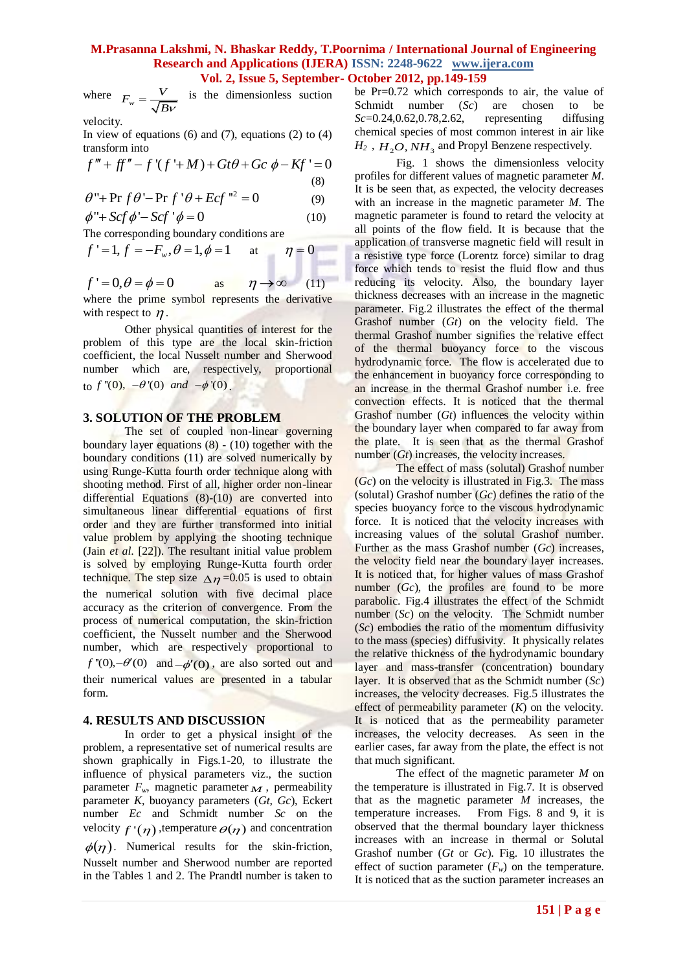where  $F_w = \frac{V}{\sqrt{B}V}$  $=\frac{V}{\sqrt{2}}$  is the dimensionless suction

velocity.

In view of equations (6) and (7), equations (2) to (4)<br> *f*  $f''' + ff'' - f'(f' + M) + Gt\theta + Gc \phi - Kf' = 0$ transform into

$$
f''' + ff'' - f'(f' + M) + Gt\theta + Gc \phi - Kf' = 0
$$
  
(8)

(8)  

$$
\theta'' + \Pr f \theta' - \Pr f' \theta + Ecf^{2} = 0
$$
 (9)

$$
\phi'' + Scf \phi' - Scf' \phi = 0 \tag{10}
$$

The corresponding boundary conditions are  
\n
$$
f' = 1, f = -F_w, \theta = 1, \phi = 1
$$
 at  $\eta = 0$ 

 $f' = 0, \theta = \phi = 0$  as  $\eta \rightarrow \infty$  (11) where the prime symbol represents the derivative with respect to  $\eta$ .

Other physical quantities of interest for the problem of this type are the local skin-friction coefficient, the local Nusselt number and Sherwood number which are, respectively, proportional to  $f''(0)$ ,  $-\theta'(0)$  and  $-\phi'(0)$ .

#### **3. SOLUTION OF THE PROBLEM**

The set of coupled non-linear governing boundary layer equations (8) - (10) together with the boundary conditions (11) are solved numerically by using Runge-Kutta fourth order technique along with shooting method. First of all, higher order non-linear differential Equations (8)-(10) are converted into simultaneous linear differential equations of first order and they are further transformed into initial value problem by applying the shooting technique (Jain *et al*. [22]). The resultant initial value problem is solved by employing Runge-Kutta fourth order technique. The step size  $\Delta \eta = 0.05$  is used to obtain the numerical solution with five decimal place accuracy as the criterion of convergence. From the process of numerical computation, the skin-friction coefficient, the Nusselt number and the Sherwood number, which are respectively proportional to  $f''(0)$ , - $\theta'(0)$  and  $-\phi'(0)$ , are also sorted out and their numerical values are presented in a tabular form.

#### **4. RESULTS AND DISCUSSION**

In order to get a physical insight of the problem, a representative set of numerical results are shown graphically in Figs.1-20, to illustrate the influence of physical parameters viz., the suction parameter  $F_w$ , magnetic parameter  $M$ , permeability parameter *K*, buoyancy parameters (*Gt*, *Gc*), Eckert number *Ec* and Schmidt number *Sc* on the velocity  $f'(\eta)$ , temperature  $\Theta(\eta)$  and concentration  $\phi(\eta)$ . Numerical results for the skin-friction, Nusselt number and Sherwood number are reported in the Tables 1 and 2. The Prandtl number is taken to

be Pr=0.72 which corresponds to air, the value of Schmidt number (*Sc*) are chosen to be *Sc*=0.24,0.62,0.78,2.62, representing diffusing chemical species of most common interest in air like  $H_2$ ,  $H_2O$ ,  $NH_3$  and Propyl Benzene respectively.

Fig. 1 shows the dimensionless velocity profiles for different values of magnetic parameter *M*. It is be seen that, as expected, the velocity decreases with an increase in the magnetic parameter *M*. The magnetic parameter is found to retard the velocity at all points of the flow field. It is because that the application of transverse magnetic field will result in a resistive type force (Lorentz force) similar to drag force which tends to resist the fluid flow and thus reducing its velocity. Also, the boundary layer thickness decreases with an increase in the magnetic parameter. Fig.2 illustrates the effect of the thermal Grashof number (*Gt*) on the velocity field. The thermal Grashof number signifies the relative effect of the thermal buoyancy force to the viscous hydrodynamic force. The flow is accelerated due to the enhancement in buoyancy force corresponding to an increase in the thermal Grashof number i.e. free convection effects. It is noticed that the thermal Grashof number (*Gt*) influences the velocity within the boundary layer when compared to far away from the plate. It is seen that as the thermal Grashof number (*Gt*) increases, the velocity increases.

The effect of mass (solutal) Grashof number (*Gc*) on the velocity is illustrated in Fig.3. The mass (solutal) Grashof number (*Gc*) defines the ratio of the species buoyancy force to the viscous hydrodynamic force. It is noticed that the velocity increases with increasing values of the solutal Grashof number. Further as the mass Grashof number (*Gc*) increases, the velocity field near the boundary layer increases. It is noticed that, for higher values of mass Grashof number (*Gc*), the profiles are found to be more parabolic. Fig.4 illustrates the effect of the Schmidt number (*Sc*) on the velocity. The Schmidt number (*Sc*) embodies the ratio of the momentum diffusivity to the mass (species) diffusivity. It physically relates the relative thickness of the hydrodynamic boundary layer and mass-transfer (concentration) boundary layer. It is observed that as the Schmidt number (*Sc*) increases, the velocity decreases. Fig.5 illustrates the effect of permeability parameter  $(K)$  on the velocity. It is noticed that as the permeability parameter increases, the velocity decreases. As seen in the earlier cases, far away from the plate, the effect is not that much significant.

The effect of the magnetic parameter *M* on the temperature is illustrated in Fig.7. It is observed that as the magnetic parameter *M* increases, the temperature increases. From Figs. 8 and 9, it is observed that the thermal boundary layer thickness increases with an increase in thermal or Solutal Grashof number (*Gt* or *Gc*). Fig. 10 illustrates the effect of suction parameter  $(F_w)$  on the temperature. It is noticed that as the suction parameter increases an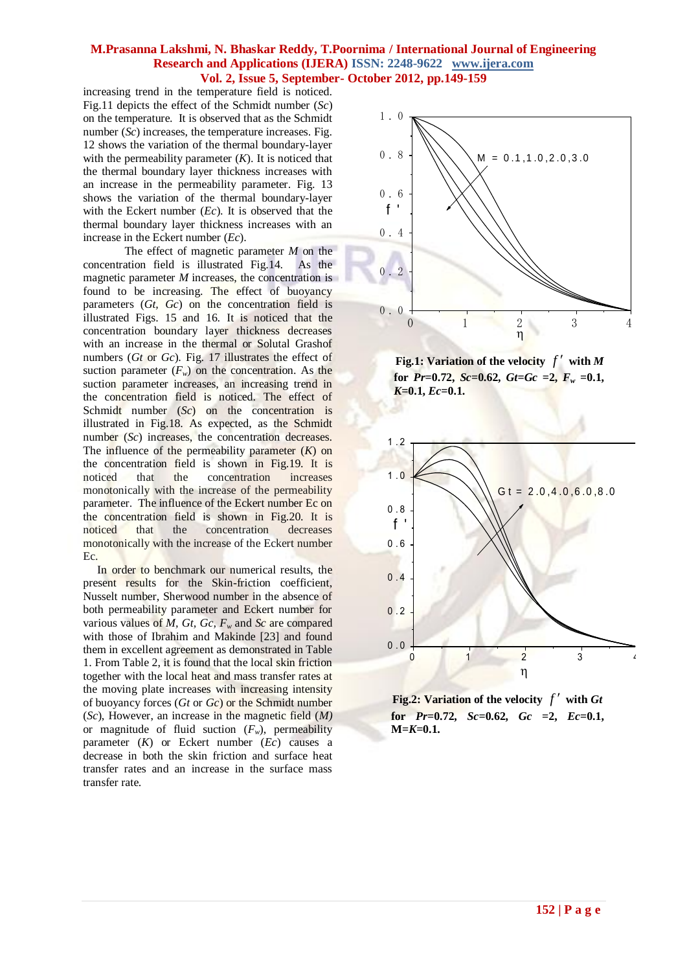increasing trend in the temperature field is noticed. Fig.11 depicts the effect of the Schmidt number (*Sc*) on the temperature. It is observed that as the Schmidt number (*Sc*) increases, the temperature increases. Fig. 12 shows the variation of the thermal boundary-layer with the permeability parameter  $(K)$ . It is noticed that the thermal boundary layer thickness increases with an increase in the permeability parameter. Fig. 13 shows the variation of the thermal boundary-layer with the Eckert number (*Ec*). It is observed that the thermal boundary layer thickness increases with an increase in the Eckert number (*Ec*).

The effect of magnetic parameter *M* on the concentration field is illustrated Fig.14. As the magnetic parameter *M* increases, the concentration is found to be increasing. The effect of buoyancy parameters (*Gt, Gc*) on the concentration field is illustrated Figs. 15 and 16. It is noticed that the concentration boundary layer thickness decreases with an increase in the thermal or Solutal Grashof numbers (*Gt* or *Gc*). Fig. 17 illustrates the effect of suction parameter  $(F_w)$  on the concentration. As the suction parameter increases, an increasing trend in the concentration field is noticed. The effect of Schmidt number (*Sc*) on the concentration is illustrated in Fig.18. As expected, as the Schmidt number (*Sc*) increases, the concentration decreases. The influence of the permeability parameter (*K*) on the concentration field is shown in Fig.19. It is noticed that the concentration increases monotonically with the increase of the permeability parameter. The influence of the Eckert number Ec on the concentration field is shown in Fig.20. It is noticed that the concentration decreases monotonically with the increase of the Eckert number Ec.

 In order to benchmark our numerical results, the present results for the Skin-friction coefficient, Nusselt number, Sherwood number in the absence of both permeability parameter and Eckert number for various values of *M, Gt, Gc, F<sup>w</sup>* and *Sc* are compared with those of Ibrahim and Makinde [23] and found them in excellent agreement as demonstrated in Table 1. From Table 2, it is found that the local skin friction together with the local heat and mass transfer rates at the moving plate increases with increasing intensity of buoyancy forces (*Gt* or *Gc*) or the Schmidt number (*Sc*), However, an increase in the magnetic field (*M)* or magnitude of fluid suction  $(F_w)$ , permeability parameter (*K*) or Eckert number (*Ec*) causes a decrease in both the skin friction and surface heat transfer rates and an increase in the surface mass transfer rate.



**Fig.1:** Variation of the velocity  $f'$  with M for  $Pr=0.72$ ,  $Sc=0.62$ ,  $Gt=Gr =2$ ,  $F_w =0.1$ , *K***=0.1,** *Ec***=0.1.**



**Fig.2: Variation of the velocity**  $f'$  **with Gt**  $f$  **for**  $Pr=0.72$ ,  $Sc=0.62$ ,  $Gc =2$ ,  $Ec=0.1$ , **M=***K***=0.1.**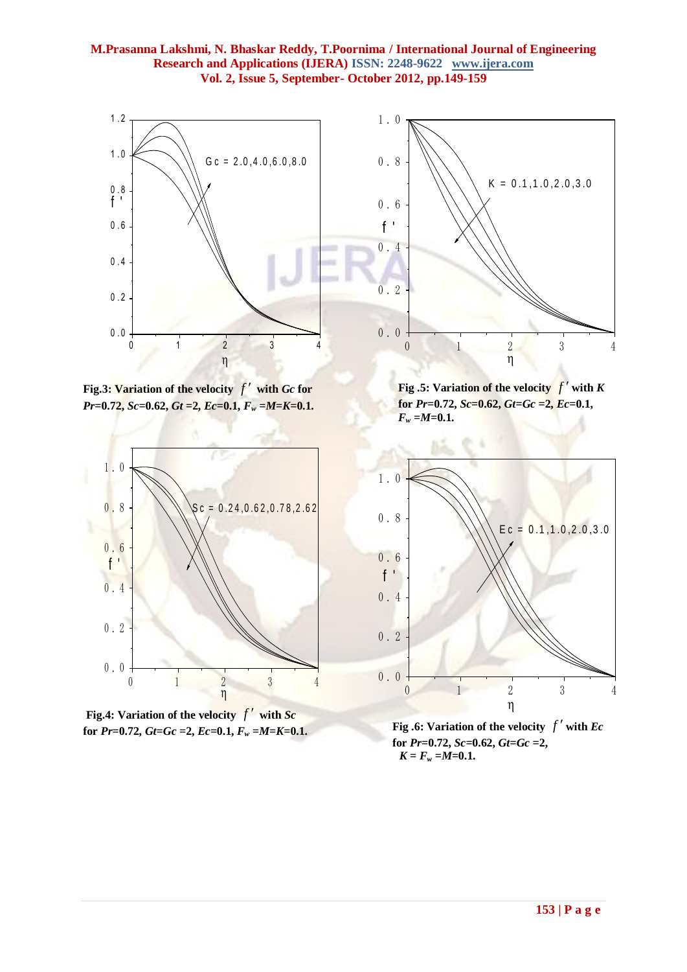

**Fig.3: Variation of the velocity**  *f* **with** *Gc* **for** *Pr***=0.72,** *Sc***=0.62,** *Gt* **=2,** *Ec***=0.1,** *F<sup>w</sup>* **=***M***=***K***=0.1.**



Fig.4: Variation of the velocity  $f'$  with  $Sc$ **for**  $Pr=0.72$ **,**  $Gt=Gr=2$ **,**  $Ec=0.1$ **,**  $F_w=M=K=0.1$ **.** 

**Fig.5:** Variation of the velocity  $f'$  with  $K$  ${\bf f}$  **for**  ${\bf Pr}$ =0.72,  ${\bf Sc}$ =0.62,  ${\bf G}$  ${\bf t}$ = ${\bf G}$  ${\bf c}$  =2,  ${\bf Ec}$ =0.1,  $F_w = M = 0.1$ .



**Fig.6: Variation of the velocity**  $f'$  with *Ec*  $for Pr=0.72, Sc=0.62, Gt=Gc=2,$  $K = F_w = M = 0.1$ .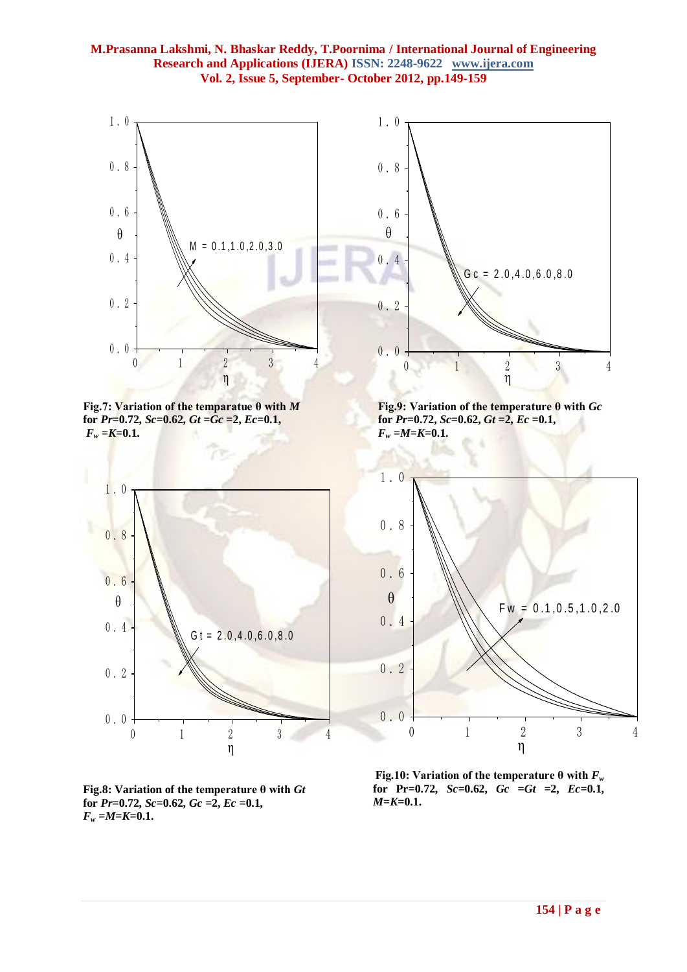

**Fig.7: Variation of the temparatue θ with** *M*   $$  $F_w = K = 0.1$ .



**Fig.8: Variation of the temperature θ with** *Gt*  for  $Pr=0.72$ ,  $Sc=0.62$ ,  $Gc=2$ ,  $Ec=0.1$ ,  $F_w = M = K = 0.1$ .



 **Fig.9: Variation of the temperature θ with** *Gc*   $\bf{for} \ \n{Pr=0.72}, \ \n{Sc=0.62}, \ \n{Gt=2}, \ \n{Ec=0.1},$  $F_w = M = K = 0.1$ .



 **Fig.10:** Variation of the temperature  $\theta$  with  $F_w$  $f$  **for Pr=0.72,**  $Sc=0.62$ ,  $Gc = Gt = 2$ ,  $Ec=0.1$ , *M***=***K***=0.1.**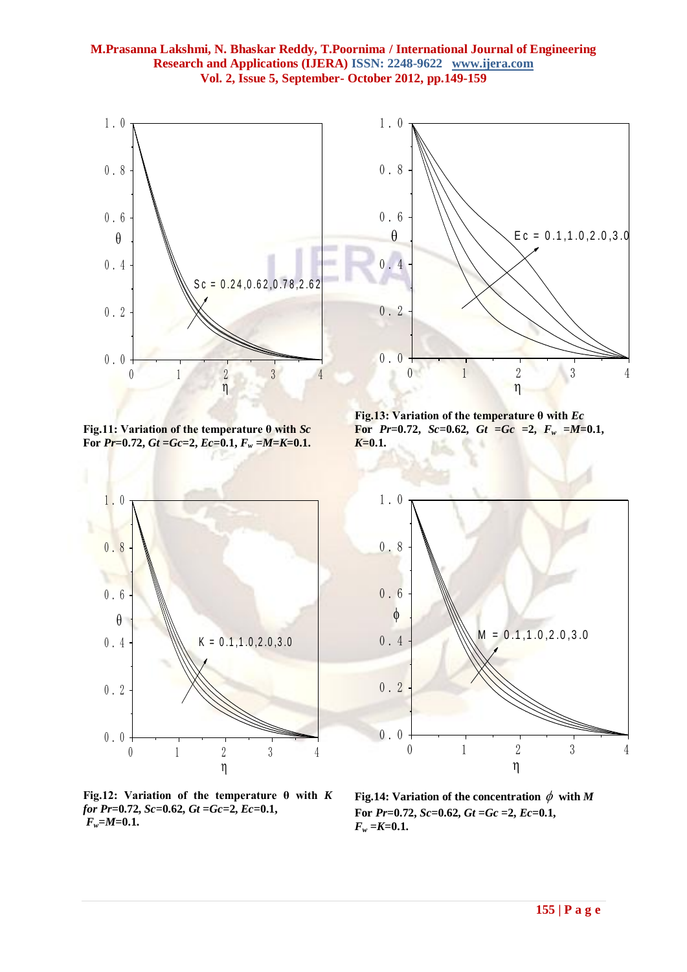

**Fig.11: Variation of the temperature θ with** *Sc* **For**  $Pr=0.72$ ,  $Gt=Ge=2$ ,  $Ec=0.1$ ,  $F_w=M=K=0.1$ .



**Fig.12: Variation of the temperature θ with** *K for Pr***=0.72,** *Sc***=0.62,** *Gt* **=***Gc***=2,** *Ec***=0.1,** *Fw***=***M***=0.1.**



**Fig.13: Variation of the temperature θ with** *Ec* **For**  $Pr=0.72$ ,  $Sc=0.62$ ,  $Gt = Gc =2$ ,  $F_w = M=0.1$ , *K***=0.1.**



Fig.14: Variation of the concentration  $\phi$  with M For  $Pr=0.72$ ,  $Sc=0.62$ ,  $Gt=Gr=2$ ,  $Ec=0.1$ ,  $F_w = K = 0.1$ .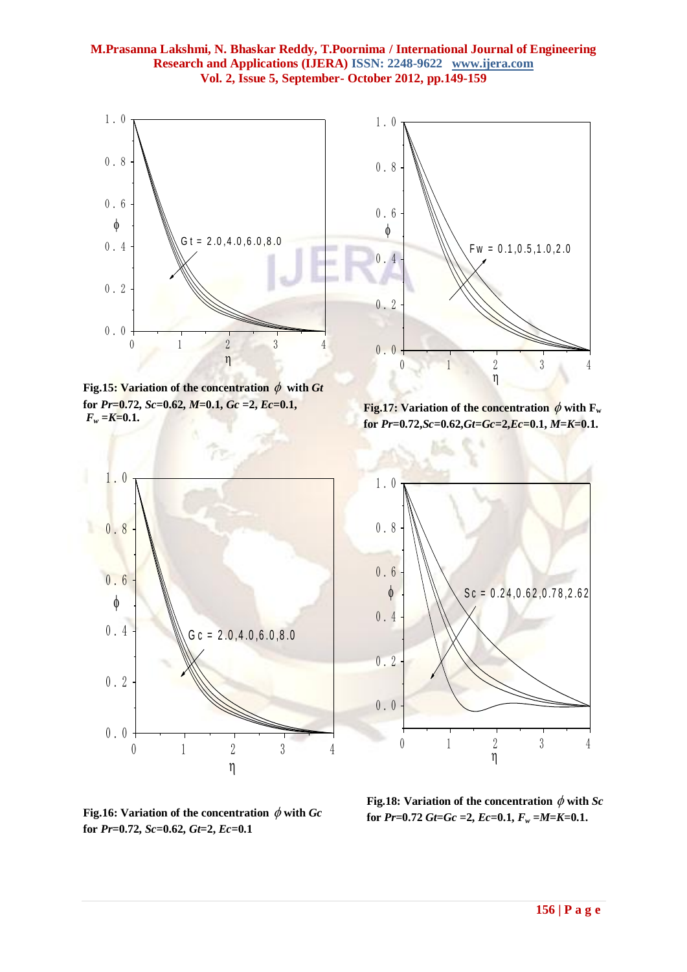

Fig.15: Variation of the concentration  $\phi$  with Gt **for** *Pr***=0.72,** *Sc***=0.62,** *M***=0.1,** *Gc* **=2,** *Ec***=0.1,**   $F_w = K = 0.1$ .



**Fig.17:** Variation of the concentration  $\phi$  with  $F_w$  **for** *Pr***=0.72,***Sc***=0.62,***Gt***=***Gc***=2,***Ec***=0.1,** *M***=***K***=0.1.**



0 1 2 3 4 0.0 0.2 0.4 0.6 0.8 1.0  $\eta$  and  $\eta$ 0. 2<br>
0. 0<br>  $\overrightarrow{0}$ <br>
Fig.17: Variation of the concentration  $\phi$  with F<sub>w</sub><br>
for Pr=0.72, Sc=0.62, Gt=Gc=2, Ec=0.1, M=K=0.1.<br>
1. 0<br>
0. 8<br>
0. 8<br>
0. 4<br>
0. 2<br>
0. 2

Fig.16: Variation of the concentration  $\,\phi$  with  $Gc$ **for** *Pr***=0.72,** *Sc***=0.62,** *Gt***=2,** *Ec***=0.1**

 **Fig.18: Variation of the concentration**  $\phi$  **with** *Sc*  **for**  $Pr=0.72$  $Gt=Gc=2$ **,**  $Ec=0.1$ **,**  $F_w=M=K=0.1$ **.**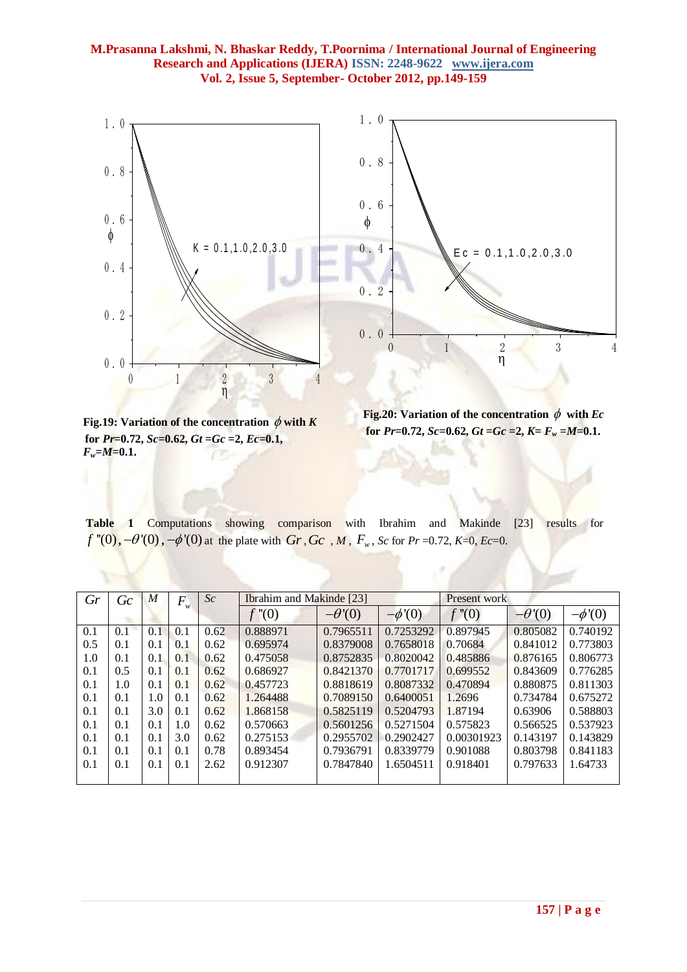

Fig.19: Variation of the concentration  $\phi$  with  $K$  $\bf{for} \ \n{Pr=0.72}, \ \n{Sc=0.62}, \ \n{Gt=Ge=2}, \ \n{Ec=0.1},$  $F_w = M = 0.1$ .

**Fig.20:** Variation of the concentration  $\phi$  with  $Ec$ for  $Pr=0.72$ ,  $Sc=0.62$ ,  $Gt=Gr=2$ ,  $K=F_w=M=0.1$ .

**Table 1** Computations showing comparison with Ibrahim and Makinde [23] results for *f*  $\sqrt{'}(0)$ ,  $-\theta'(0)$ ,  $-\phi'(0)$  at the plate with  $Gr$ ,  $Gc$ ,  $M$ ,  $F_w$ ,  $Sc$  for  $Pr$  =0.72,  $K$ =0,  $Ec$ =0.

| Gr  | Gc  | $\boldsymbol{M}$ | $\boldsymbol{F}$ | Sc   | <b>Ibrahim and Makinde [23]</b> |               |             | Present work |              |             |
|-----|-----|------------------|------------------|------|---------------------------------|---------------|-------------|--------------|--------------|-------------|
|     |     |                  | w                |      | f''(0)                          | $-\theta'(0)$ | $-\phi'(0)$ | f''(0)       | $-\theta(0)$ | $-\phi'(0)$ |
| 0.1 | 0.1 | 0.1              | 0.1              | 0.62 | 0.888971                        | 0.7965511     | 0.7253292   | 0.897945     | 0.805082     | 0.740192    |
| 0.5 | 0.1 | 0.1              | 0.1              | 0.62 | 0.695974                        | 0.8379008     | 0.7658018   | 0.70684      | 0.841012     | 0.773803    |
| 1.0 | 0.1 | 0.1              | 0.1              | 0.62 | 0.475058                        | 0.8752835     | 0.8020042   | 0.485886     | 0.876165     | 0.806773    |
| 0.1 | 0.5 | 0.1              | 0.1              | 0.62 | 0.686927                        | 0.8421370     | 0.7701717   | 0.699552     | 0.843609     | 0.776285    |
| 0.1 | 1.0 | 0.1              | 0.1              | 0.62 | 0.457723                        | 0.8818619     | 0.8087332   | 0.470894     | 0.880875     | 0.811303    |
| 0.1 | 0.1 | 1.0              | 0.1              | 0.62 | 1.264488                        | 0.7089150     | 0.6400051   | 1.2696       | 0.734784     | 0.675272    |
| 0.1 | 0.1 | 3.0              | 0.1              | 0.62 | 1.868158                        | 0.5825119     | 0.5204793   | 1.87194      | 0.63906      | 0.588803    |
| 0.1 | 0.1 | 0.1              | 1.0              | 0.62 | 0.570663                        | 0.5601256     | 0.5271504   | 0.575823     | 0.566525     | 0.537923    |
| 0.1 | 0.1 | 0.1              | 3.0              | 0.62 | 0.275153                        | 0.2955702     | 0.2902427   | 0.00301923   | 0.143197     | 0.143829    |
| 0.1 | 0.1 | 0.1              | 0.1              | 0.78 | 0.893454                        | 0.7936791     | 0.8339779   | 0.901088     | 0.803798     | 0.841183    |
| 0.1 | 0.1 | 0.1              | 0.1              | 2.62 | 0.912307                        | 0.7847840     | 1.6504511   | 0.918401     | 0.797633     | 1.64733     |
|     |     |                  |                  |      |                                 |               |             |              |              |             |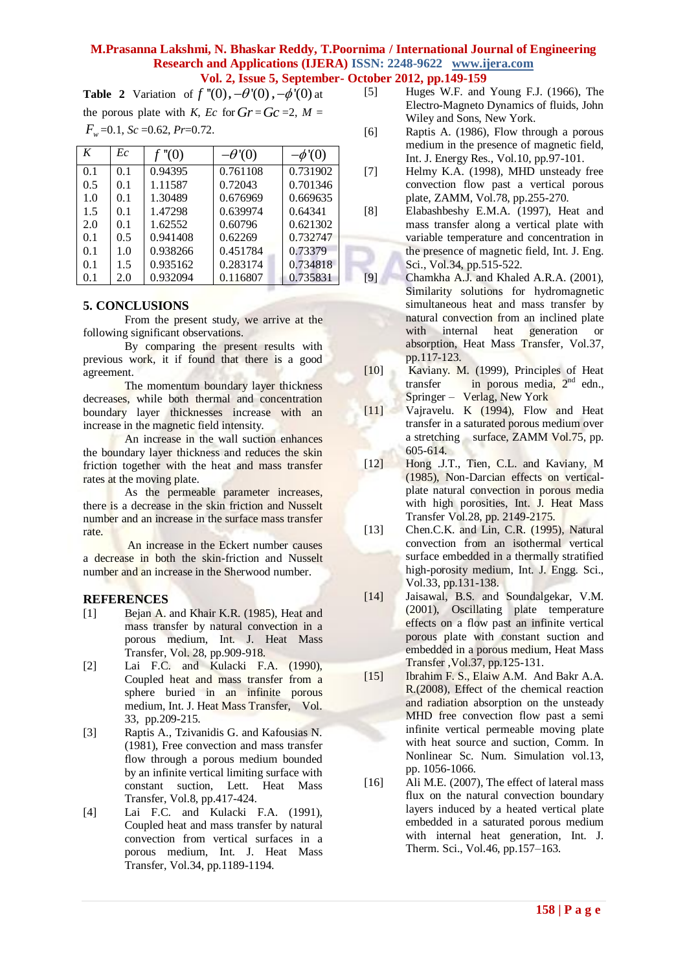**Table 2** Variation of  $f''(0)$ ,  $-\theta'(0)$ ,  $-\phi'(0)$  at the porous plate with *K*, *Ec* for  $Gr = Gc = 2$ ,  $M =$ 

$$
F_w=0.1
$$
,  $Sc=0.62$ ,  $Pr=0.72$ .

| K   | Ec  | f''(0)   | $-\theta(0)$ | $-\phi'(0)$ |
|-----|-----|----------|--------------|-------------|
| 0.1 | 0.1 | 0.94395  | 0.761108     | 0.731902    |
| 0.5 | 0.1 | 1.11587  | 0.72043      | 0.701346    |
| 1.0 | 0.1 | 1.30489  | 0.676969     | 0.669635    |
| 1.5 | 0.1 | 1.47298  | 0.639974     | 0.64341     |
| 2.0 | 0.1 | 1.62552  | 0.60796      | 0.621302    |
| 0.1 | 0.5 | 0.941408 | 0.62269      | 0.732747    |
| 0.1 | 1.0 | 0.938266 | 0.451784     | 0.73379     |
| 0.1 | 1.5 | 0.935162 | 0.283174     | 0.734818    |
| 0.1 | 2.0 | 0.932094 | 0.116807     | 0.735831    |

#### **5. CONCLUSIONS**

From the present study, we arrive at the following significant observations.

By comparing the present results with previous work, it if found that there is a good agreement.

The momentum boundary layer thickness decreases, while both thermal and concentration boundary layer thicknesses increase with an increase in the magnetic field intensity.

An increase in the wall suction enhances the boundary layer thickness and reduces the skin friction together with the heat and mass transfer rates at the moving plate.

As the permeable parameter increases, there is a decrease in the skin friction and Nusselt number and an increase in the surface mass transfer rate.

An increase in the Eckert number causes a decrease in both the skin-friction and Nusselt number and an increase in the Sherwood number.

### **REFERENCES**

- [1] Bejan A. and Khair K.R. (1985), Heat and mass transfer by natural convection in a porous medium, Int. J. Heat Mass Transfer, Vol. 28, pp.909-918.
- [2] Lai F.C. and Kulacki F.A. (1990), Coupled heat and mass transfer from a sphere buried in an infinite porous medium, Int. J. Heat Mass Transfer, Vol. 33, pp.209-215.
- [3] Raptis A., Tzivanidis G. and Kafousias N. (1981), Free convection and mass transfer flow through a porous medium bounded by an infinite vertical limiting surface with constant suction, Lett. Heat Mass Transfer, Vol.8, pp.417-424.
- [4] Lai F.C. and Kulacki F.A. (1991), Coupled heat and mass transfer by natural convection from vertical surfaces in a porous medium, Int. J. Heat Mass Transfer, Vol.34, pp.1189-1194.
- - [5] Huges W.F. and Young F.J. (1966), The Electro-Magneto Dynamics of fluids, John Wiley and Sons, New York.
	- [6] Raptis A. (1986), Flow through a porous medium in the presence of magnetic field, Int. J. Energy Res., Vol.10, pp.97-101.
	- [7] Helmy K.A. (1998), MHD unsteady free convection flow past a vertical porous plate, ZAMM, Vol.78, pp.255-270.
	- [8] Elabashbeshy E.M.A. (1997), Heat and mass transfer along a vertical plate with variable temperature and concentration in the presence of magnetic field, Int. J. Eng. Sci., Vol.34, pp.515-522.
	- [9] Chamkha A.J. and Khaled A.R.A. (2001), Similarity solutions for hydromagnetic simultaneous heat and mass transfer by natural convection from an inclined plate<br>with internal heat generation or with internal heat generation or absorption, Heat Mass Transfer, Vol.37, pp.117-123.
	- [10] Kaviany. M. (1999), Principles of Heat transfer in porous media,  $2<sup>nd</sup>$  edn., Springer – Verlag, New York
	- [11] Vajravelu. K (1994), Flow and Heat transfer in a saturated porous medium over a stretching surface, ZAMM Vol.75, pp. 605-614.
	- [12] Hong J.T., Tien, C.L. and Kaviany, M (1985), Non-Darcian effects on verticalplate natural convection in porous media with high porosities, Int. J. Heat Mass Transfer Vol.28, pp. 2149-2175.
	- [13] Chen.C.K. and Lin, C.R. (1995), Natural convection from an isothermal vertical surface embedded in a thermally stratified high-porosity medium, Int. J. Engg. Sci., Vol.33, pp.131-138.
	- [14] Jaisawal, B.S. and Soundalgekar, V.M. (2001), Oscillating plate temperature effects on a flow past an infinite vertical porous plate with constant suction and embedded in a porous medium, Heat Mass Transfer ,Vol.37, pp.125-131.
	- [15] Ibrahim F. S., Elaiw A.M. And Bakr A.A. R.(2008), Effect of the chemical reaction and radiation absorption on the unsteady MHD free convection flow past a semi infinite vertical permeable moving plate with heat source and suction, Comm. In Nonlinear Sc. Num. Simulation vol.13, pp. 1056-1066.
	- [16] Ali M.E. (2007), The effect of lateral mass flux on the natural convection boundary layers induced by a heated vertical plate embedded in a saturated porous medium with internal heat generation, Int. J. Therm. Sci., Vol.46, pp.157–163.